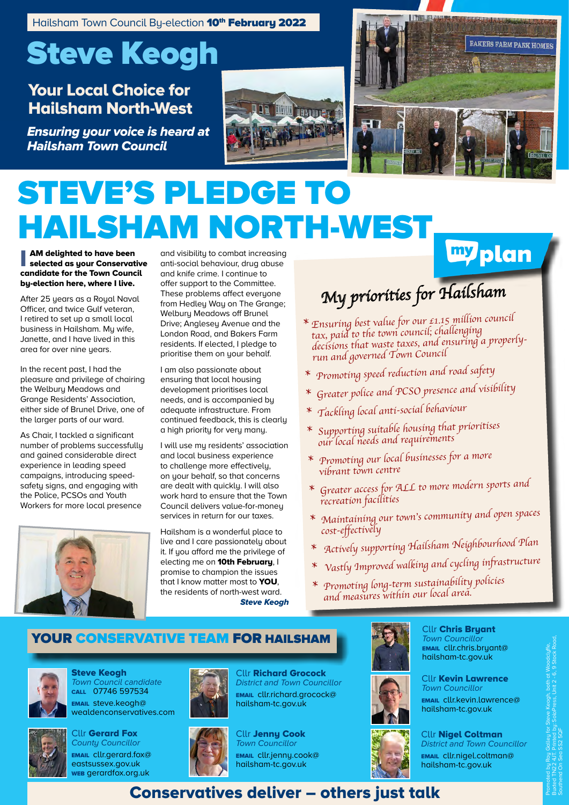Hailsham Town Council By-election 10<sup>th</sup> February 2022

## Steve Keogh

### Your Local Choice for Hailsham North-West

Ensuring your voice is heard at Hailsham Town Council





**my** plan

## STEVE'S PLEDGE TO HAILSHAM NORTH-WEST

I AM delighted to have been selected as your Conservative candidate for the Town Council by-election here, where I live.

After 25 years as a Royal Naval Officer, and twice Gulf veteran, I retired to set up a small local business in Hailsham. My wife, Janette, and I have lived in this area for over nine years.

In the recent past, I had the pleasure and privilege of chairing the Welbury Meadows and Grange Residents' Association, either side of Brunel Drive, one of the larger parts of our ward.

As Chair, I tackled a significant number of problems successfully and gained considerable direct experience in leading speed campaigns, introducing speedsafety signs, and engaging with the Police, PCSOs and Youth Workers for more local presence



and visibility to combat increasing anti-social behaviour, drug abuse and knife crime. I continue to offer support to the Committee. These problems affect everyone from Hedley Way on The Grange; Welbury Meadows off Brunel Drive; Anglesey Avenue and the London Road, and Bakers Farm residents. If elected, I pledge to prioritise them on your behalf.

I am also passionate about ensuring that local housing development prioritises local needs, and is accompanied by adequate infrastructure. From continued feedback, this is clearly a high priority for very many.

I will use my residents' association and local business experience to challenge more effectively, on your behalf, so that concerns are dealt with quickly. I will also work hard to ensure that the Town Council delivers value-for-money services in return for our taxes.

Hailsham is a wonderful place to live and I care passionately about it. If you afford me the privilege of electing me on **10th February**, I promise to champion the issues that I know matter most to **YOU**. the residents of north-west ward. Steve Keogh

# *My priorities for Hailsham*

- *\* Ensuring best value for our £1.15 million council tax, paid to the town council; challenging decisions that waste taxes, and ensuring a properly run and governed Town Council*
- *\* Promoting speed reduction and road safety*
- *\* Greater police and PCSO presence and visibility*
- *\* Tackling local anti-social behaviour*
- *\* Supporting suitable housing that prioritises our local needs and requirements*
- *\* Promoting our local businesses for a more vibrant town centre*
- *\* Greater access for ALL to more modern sports an<sup>d</sup> recreation facilities*
- *\* Maintaining our town's community and open spaces cost-effectively*
- *\* Actively supporting Hailsham Neighbourhood Plan*
- *\* Vastly Improved walking and cycling infrastructure*
- *\* Promoting long-term sustainability policies and measures within our local area.*

### YOUR CONSERVATIVE TEAM FOR HAILSHAM



Steve Keogh Town Council candidate call 07746 597534 email steve.keogh@



wealdenconservatives.com Cllr Gerard Fox County Councillor email cllr.gerard.fox@ eastsussex.gov.uk

web gerardfox.org.uk

**Cllr Richard Grocock** District and Town Councillor email cllr.richard.grocock@ hailsham-tc.gov.uk



**Cllr Jenny Cook** Town Councillor email cllr.jenny.cook@ hailsham-tc.gov.uk



### **Cllr Chris Bryant** Town Councillor email cllr.chris.bryant@

hailsham-tc.gov.uk

Cllr Kevin Lawrence Town Councillor email cllr.kevin.lawrence@ hailsham-tc.gov.uk



Cllr Nigel Coltman District and Town Councillor email cllr.nigel.coltman@ hailsham-tc.gov.uk

Promoted by Roy Galley for Steve Keogh, both at Woodclyffe, Buxted TN22 4JT. Printed by: SoloPress, Unit 2 - 6, 9 Stock Road, Southend On Sea SS2 5QF